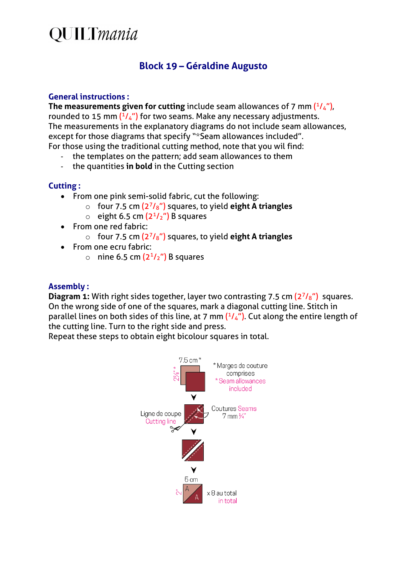## **QUILTmania**

### **Block 19 – Géraldine Augusto**

#### **General instructions :**

The measurements given for cutting include seam allowances of 7 mm  $(^{1}/_{4})$ , rounded to 15 mm  $(^{1}/_{4}$ ") for two seams. Make any necessary adjustments. The measurements in the explanatory diagrams do not include seam allowances, except for those diagrams that specify "\*Seam allowances included". For those using the traditional cutting method, note that you wil find:

- the templates on the pattern; add seam allowances to them<br>- the quantities in bold in the Cutting section
- the quantities in bold in the Cutting section

#### **Cutting :**

- From one pink semi-solid fabric, cut the following:
	- o four 7.5 cm (27/8") squares, to yield **eight A triangles**
	- $\circ$  eight 6.5 cm  $(2^{1}/2'')$  B squares
- From one red fabric:
	- o four 7.5 cm (27/8") squares, to yield **eight A triangles**
- From one ecru fabric:
	- $\circ$  nine 6.5 cm  $(2^{1}/2^{n})$  B squares

#### **Assembly :**

**Diagram 1:** With right sides together, layer two contrasting 7.5 cm (2<sup>7</sup>/<sub>8</sub>") squares. On the wrong side of one of the squares, mark a diagonal cutting line. Stitch in parallel lines on both sides of this line, at 7 mm  $(1/4)$ . Cut along the entire length of the cutting line. Turn to the right side and press.

Repeat these steps to obtain eight bicolour squares in total.